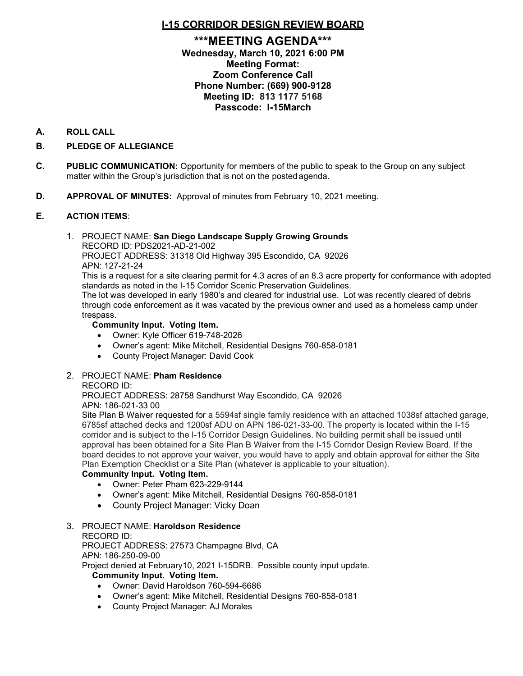# **I-15 CORRIDOR DESIGN REVIEW BOARD**

# **\*\*\*MEETING AGENDA\*\*\* Wednesday, March 10, 2021 6:00 PM Meeting Format: Zoom Conference Call Phone Number: (669) 900-9128 Meeting ID: 813 1177 5168 Passcode: I-15March**

### **A. ROLL CALL**

# **B. PLEDGE OF ALLEGIANCE**

- **C. PUBLIC COMMUNICATION:** Opportunity for members of the public to speak to the Group on any subject matter within the Group's jurisdiction that is not on the posted agenda.
- **D. APPROVAL OF MINUTES:** Approval of minutes from February 10, 2021 meeting.

### **E. ACTION ITEMS**:

#### 1. PROJECT NAME: **San Diego Landscape Supply Growing Grounds** RECORD ID: PDS2021-AD-21-002

PROJECT ADDRESS: 31318 Old Highway 395 Escondido, CA 92026

APN: 127-21-24

This is a request for a site clearing permit for 4.3 acres of an 8.3 acre property for conformance with adopted standards as noted in the I-15 Corridor Scenic Preservation Guidelines.

The lot was developed in early 1980's and cleared for industrial use. Lot was recently cleared of debris through code enforcement as it was vacated by the previous owner and used as a homeless camp under trespass.

### **Community Input. Voting Item.**

- Owner: Kyle Officer 619-748-2026
- Owner's agent: Mike Mitchell, Residential Designs 760-858-0181
- County Project Manager: David Cook

# 2. PROJECT NAME: **Pham Residence**

### RECORD ID:

PROJECT ADDRESS: 28758 Sandhurst Way Escondido, CA 92026 APN: 186-021-33 00

Site Plan B Waiver requested for a 5594sf single family residence with an attached 1038sf attached garage, 6785sf attached decks and 1200sf ADU on APN 186-021-33-00. The property is located within the I-15 corridor and is subject to the I-15 Corridor Design Guidelines. No building permit shall be issued until approval has been obtained for a Site Plan B Waiver from the I-15 Corridor Design Review Board. If the board decides to not approve your waiver, you would have to apply and obtain approval for either the Site Plan Exemption Checklist or a Site Plan (whatever is applicable to your situation).

### **Community Input. Voting Item.**

- Owner: Peter Pham 623-229-9144
- Owner's agent: Mike Mitchell, Residential Designs 760-858-0181
- County Project Manager: Vicky Doan
- 3. PROJECT NAME: **Haroldson Residence**

#### RECORD ID:

PROJECT ADDRESS: 27573 Champagne Blvd, CA

APN: 186-250-09-00

Project denied at February10, 2021 I-15DRB. Possible county input update.

### **Community Input. Voting Item.**

- Owner: David Haroldson 760-594-6686
- Owner's agent: Mike Mitchell, Residential Designs 760-858-0181
- County Project Manager: AJ Morales